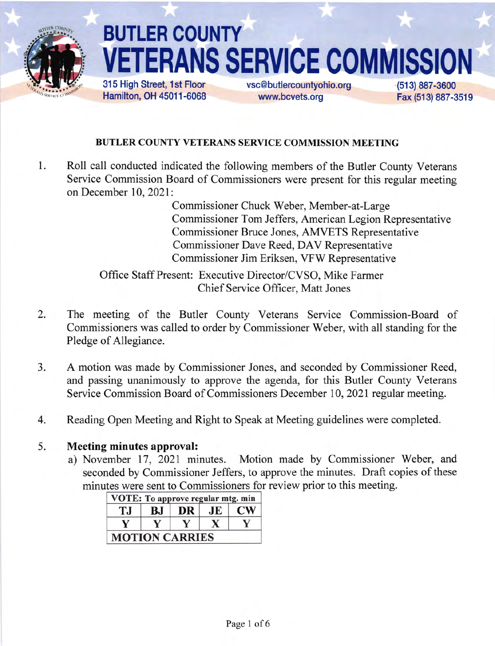

# **BUTLER COUNTY ANS SERVICE COMMISS** 315 High Street, 1st Floor vsc@butlercountyohio.org (51 3) 897-3600

Hamilton, OH 45011-6068

www.bcvets.org

Fax (513) 887-3519

# BUTLER COUNTY VETERANS SERVICE COMMISSION MEETING

1 Roll call conducted indicated the following members of the Butler County Veterans Service Commission Board of Commissioners were present for this regular meeting on December 10, 2021:

> Commissioner Chuck Weber, Member-at-Large Commissioner Tom Jeffers, American Legion Representative Commissioner Bruce Jones, AMVETS Representative Commissioner Dave Reed, DAV Representative Commissioner Jim Eriksen, VFW Representative

Office Staff Present: Executive Director/CVSO, Mike Farmer Chief Service Officer, Matt Jones

- The meeting of the Butler County Veterans Service Commission-Board of Commissioners was called to order by Commissioner Weber, with all standing for the Pledge of Allegiance. 2.
- A motion was made by Commissioner Jones, and seconded by Commissioner Reed, and passing unanimously to approve the agenda, for this Butler County Veterans Service Commission Board of Commissioners December 10, 2021 regular meeting.  $3.$
- Reading Open Meeting and Right to Speak at Meeting guidelines were completed 4

#### Meeting minutes approval: 5.

a) November 17, 2021 minutes. Motion made by Commissioner Weber, and seconded by Commissioner Jeffers, to approve the minutes. Draft copies of these minutes were sent to Commissioners for review prior to this meeting.

| T.J | ВJ | DR | JE | <b>CW</b> |
|-----|----|----|----|-----------|
|     |    |    |    |           |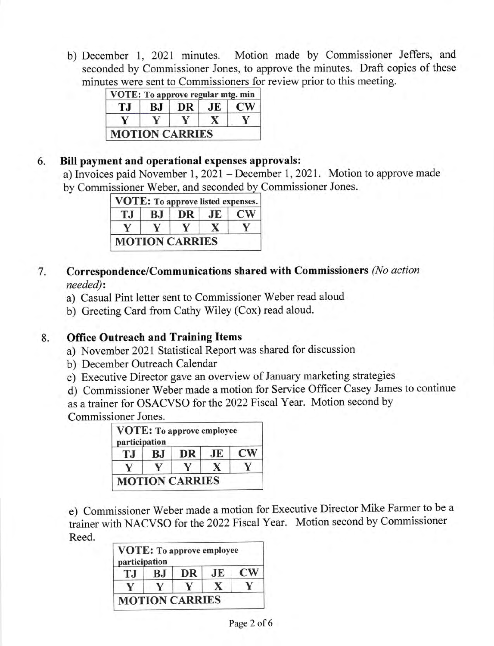b) December l, 2021 minutes. Motion made by Commissioner Jeffers, and seconded by Commissioner Jones, to approve the minutes. Draft copies of these minutes were sent to Commissioners for review prior to this meeting.

| T.I | BJ | DR | JE | CW <sub></sub> |
|-----|----|----|----|----------------|
|     |    |    |    |                |

#### 6 Bill payment and operational expenses approvals:

a) Invoices paid November 1,2021- December 1,2021. Motion to approve made by Commissioner Weber, and seconded by Commissioner Jones.

| T.I | BJ. | DR. | JE | $\mathbf{CW}$ |
|-----|-----|-----|----|---------------|
|     |     |     |    |               |

#### Correspondence/Communications shared with Commissioners (No action needed): 7

- a) Casual Pint letter sent to Commissioner Weber read aloud
- b) Greeting Card from Cathy Wiley (Cox) read aloud.

#### Office Outreach and Training Items 8.

- a) November 2021 Statistical Report was shared for discussion
- b) December Outreach Calendar
- c) Executive Director gave an overview of January marketing strategies
- d) Commissioner Weber made a motion for Service Officer Casey James to continue

as a trainer for OSACVSO for the 2022 Fiscal Year. Motion second by Commissioner Jones.

| participation |    | <b>VOTE:</b> To approve employee |     |                        |
|---------------|----|----------------------------------|-----|------------------------|
| T.I           | BJ | DR                               | .JE | $\mathbf{C}\mathbf{W}$ |
|               |    |                                  |     |                        |
|               |    | <b>MOTION CARRIES</b>            |     |                        |

e) Commissioner Weber made a motion for Executive Director Mike Farmer to be <sup>a</sup> trainer with NACVSO for the 2022 Fiscal Year. Motion second by Commissioner Reed.

| participation |    | <b>VOTE:</b> To approve employee |    |           |
|---------------|----|----------------------------------|----|-----------|
| T.I           | ВJ | DR                               | JE | <b>CW</b> |
|               |    |                                  |    |           |
|               |    | <b>MOTION CARRIES</b>            |    |           |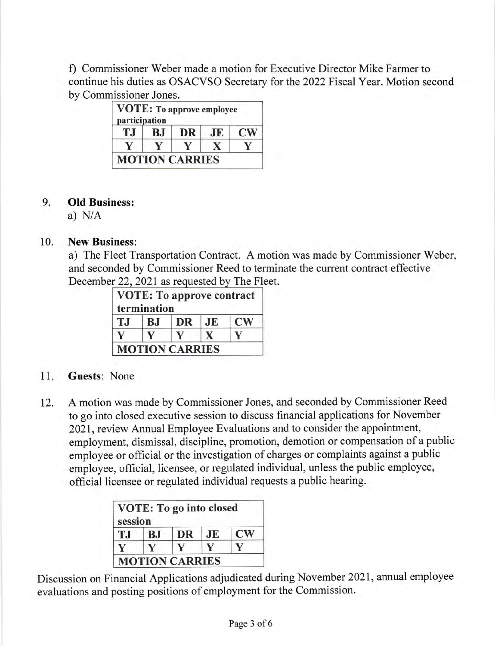f) Commissioner Weber made a motion for Executive Director Mike Farmer to continue his duties as OSACVSO Secretary for the 2022 Fiscal Year. Motion second by Commissioner Jones.

| T.I | BJ | DR | <b>JE</b> | <b>CW</b> |
|-----|----|----|-----------|-----------|
|     |    |    |           |           |

#### Old Business: 9.

a) N/A

### 10. New Business:

a) The Fleet Transportation Contract. A motion was made by Commissioner Weber, and seconded by Commissioner Reed to terminate the current contract effective December 22, 2021 as requested by The Fleet.

|     | termination |           |    |               |
|-----|-------------|-----------|----|---------------|
| T.I | B.J         | <b>DR</b> | JE | $\mathbf{CW}$ |
|     |             |           |    |               |

## <sup>1</sup>1. Guests: None

L2. <sup>A</sup>motion was made by Commissioner Jones, and seconded by Commissioner Reed to go into closed executive session to discuss financial applications for November 2021, review Annual Employee Evaluations and to consider the appointment, employment, dismissal, discipline, promotion, demotion or compensation of a public employee or official or the investigation of charges or complaints against a public employee, official, licensee, or regulated individual, unless the public employee, official licensee or regulated individual requests a public hearing.

| session |           | <b>VOTE: To go into closed</b> |    |                        |
|---------|-----------|--------------------------------|----|------------------------|
| T.J     | <b>BJ</b> | DR                             | JE | $\mathbf{C}\mathbf{W}$ |
|         |           |                                |    |                        |
|         |           | <b>MOTION CARRIES</b>          |    |                        |

Discussion on Financial Applications adjudicated during November 2021, annual employee evaluations and posting positions of employment for the Commission.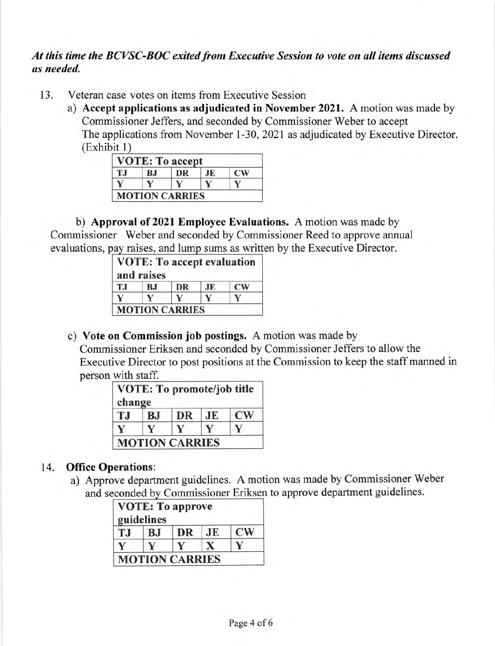# At this time the BCVSC-BOC exited from Executive Session to vote on all items discussed as needed.

- 13. Veteran case votes on items from Executive Session
	- a) Accept applications as adjudicated in November 2021. A motion was made by Commissioner Jeffers, and seconded by Commissioner Weber to accept The applications from November 1-30, 2021 as adjudicated by Executive Director. (Exhibit <sup>1</sup>

| T.I | BJ | DR | JE | CW |
|-----|----|----|----|----|
|     |    |    |    |    |

b) Approval of 2021 Employee Evaluations. A motion was made by Commissioner Weber and seconded by Commissioner Reed to approve annual evaluations, pay raises, and lump sums as written by the Executive Director.

|           | and raises |           |     |                        |
|-----------|------------|-----------|-----|------------------------|
| <b>TJ</b> | BJ         | <b>DR</b> | .JE | $\mathbf{C}\mathbf{W}$ |
|           |            |           |     |                        |

c) Vote on Commission job postings. A motion was made by

Commissioner Eriksen and seconded by Commissioner Jeffers to allow the Executive Director to post positions at the Commission to keep the staff manned in person with staff.

| change |           | <b>VOTE: To promote/job title</b> |    |                        |
|--------|-----------|-----------------------------------|----|------------------------|
| TJ     | <b>BJ</b> | <b>DR</b>                         | JE | $\mathbf{C}\mathbf{W}$ |
|        |           |                                   |    |                        |
|        |           | <b>MOTION CARRIES</b>             |    |                        |

### 14. Office Operations:

a) Approve department guidelines. A motion was made by Commissioner Weber and seconded by Commissioner Eriksen to approve department guidelines.

|     | guidelines | <b>VOTE: To approve</b> |           |               |
|-----|------------|-------------------------|-----------|---------------|
| T.I | <b>BJ</b>  | DR                      | <b>JE</b> | $\mathbf{CW}$ |
|     |            |                         |           |               |
|     |            | <b>MOTION CARRIES</b>   |           |               |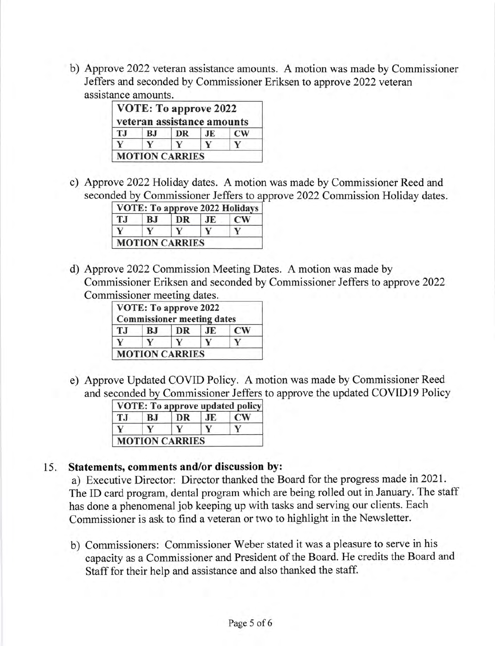b) Approve 2022 veteran assistance amounts. A motion was made by Commissioner Jeffers and seconded by Commissioner Eriksen to approve2022 veteran assistance amounts.

|           | VOTE: To approve 2022<br>veteran assistance amounts |           |    |               |
|-----------|-----------------------------------------------------|-----------|----|---------------|
| <b>TJ</b> | <b>BJ</b>                                           | <b>DR</b> | JE | $\mathbf{CW}$ |
|           |                                                     |           |    |               |

c) Approve2022 Holiday dates. A motion was made by Commissioner Reed and seconded by Commissioner Jeffers to approve 2022 Commission Holiday dates.

| ТJ | <b>BJ</b> | DR | JE. | <b>CW</b> |
|----|-----------|----|-----|-----------|
|    |           |    |     |           |

d) Approve 2022 Commission Meeting Dates. A motion was made by Commissioner Eriksen and seconded by Commissioner Jeffers to approve 2022 Commissioner meeting dates.

|     |    | VOTE: To approve 2022<br><b>Commissioner meeting dates</b> |    |               |
|-----|----|------------------------------------------------------------|----|---------------|
| T.I | BJ | DR                                                         | JE | $\mathbf{CW}$ |
|     |    |                                                            |    |               |
|     |    | <b>MOTION CARRIES</b>                                      |    |               |

e) Approve Updated COVID Policy. A motion was made by Commissioner Reed and seconded by Commissioner Jeffers to approve the updated COVID19 Policy

| T.I | B.I | DR | JE. | CW <sub></sub> |
|-----|-----|----|-----|----------------|
|     |     |    |     |                |

### 15. Statements, comments and/or discussion by:

a) Executive Director: Director thanked the Board for the progress made in202L. The ID card program, dental program which are being rolled out in January. The staff has done a phenomenal job keeping up with tasks and serving our clients. Each Commissioner is ask to find a veteran or two to highlight in the Newsletter.

b) Commissioners: Commissioner Weber stated it was a pleasure to serve in his capacity as a Commissioner and President of the Board. He credits the Board and Staff for their help and assistance and also thanked the staff.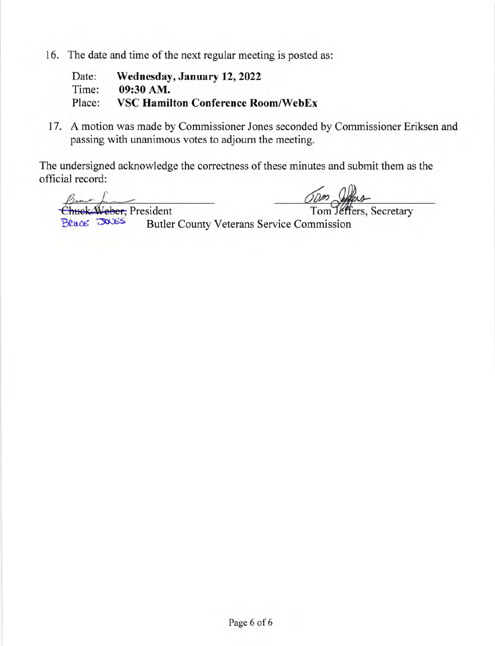16. The date and time of the next regular meeting is posted as:

Date: Wednesday, January 12, 2022<br>Time: 09:30 AM. 09:30 AM. Place: VSC Hamilton Conference Room/WebEx

17. A motion was made by Commissioner Jones seconded by Commissioner Eriksen and passing with unanimous votes to adjourn the meeting.

The undersigned acknowledge the correctness of these minutes and submit them as the official record:

from Land Chuck Weber, President<br>
Tom Jeffers, Secretary<br>
Bruce 20085 Butler County Veterans Service Commission

Butler County Veterans Service Commission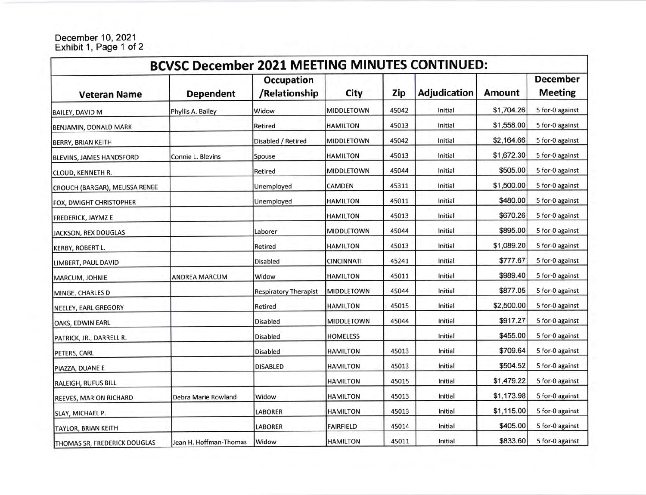#### December 10, 2021 Exhibit 1, Page 1 of 2

| <b>BCVSC December 2021 MEETING MINUTES CONTINUED:</b> |                        |                                    |                   |       |                     |               |                                   |
|-------------------------------------------------------|------------------------|------------------------------------|-------------------|-------|---------------------|---------------|-----------------------------------|
| <b>Veteran Name</b>                                   | <b>Dependent</b>       | <b>Occupation</b><br>/Relationship | City              | Zip   | <b>Adjudication</b> | <b>Amount</b> | <b>December</b><br><b>Meeting</b> |
| <b>BAILEY, DAVID M</b>                                | Phyllis A. Bailey      | Widow                              | <b>MIDDLETOWN</b> | 45042 | Initial             | \$1,704.26    | 5 for-0 against                   |
| BENJAMIN, DONALD MARK                                 |                        | Retired                            | <b>HAMILTON</b>   | 45013 | Initial             | \$1,558.00    | 5 for-0 against                   |
| <b>BERRY, BRIAN KEITH</b>                             |                        | Disabled / Retired                 | MIDDLETOWN        | 45042 | Initial             | \$2,164.66    | 5 for-0 against                   |
| <b>BLEVINS, JAMES HANDSFORD</b>                       | Connie L. Blevins      | Spouse                             | HAMILTON          | 45013 | Initial             | \$1,672.30    | 5 for-0 against                   |
| CLOUD, KENNETH R.                                     |                        | Retired                            | MIDDLETOWN        | 45044 | Initial             | \$505.00      | 5 for-0 against                   |
| CROUCH (BARGAR), MELISSA RENEE                        |                        | Unemployed                         | CAMDEN            | 45311 | Initial             | \$1,500.00    | 5 for-0 against                   |
| FOX, DWIGHT CHRISTOPHER                               |                        | Unemployed                         | <b>HAMILTON</b>   | 45011 | Initial             | \$480.00      | 5 for-0 against                   |
| <b>FREDERICK, JAYMZ E</b>                             |                        |                                    | <b>HAMILTON</b>   | 45013 | Initial             | \$670.26      | 5 for-0 against                   |
| JACKSON, REX DOUGLAS                                  |                        | Laborer                            | <b>MIDDLETOWN</b> | 45044 | Initial             | \$895.00      | 5 for-0 against                   |
| <b>KERBY, ROBERT L.</b>                               |                        | Retired                            | <b>HAMILTON</b>   | 45013 | Initial             | \$1,089.20    | 5 for-0 against                   |
| LIMBERT, PAUL DAVID                                   |                        | <b>Disabled</b>                    | <b>CINCINNATI</b> | 45241 | Initial             | \$777.67      | 5 for-0 against                   |
| MARCUM, JOHNIE                                        | <b>ANDREA MARCUM</b>   | Widow                              | <b>HAMILTON</b>   | 45011 | Initial             | \$989.40      | 5 for-0 against                   |
| MINGE, CHARLES D                                      |                        | <b>Respiratory Therapist</b>       | MIDDLETOWN        | 45044 | Initial             | \$877.05      | 5 for-0 against                   |
| NEELEY, EARL GREGORY                                  |                        | Retired                            | <b>HAMILTON</b>   | 45015 | Initial             | \$2,500.00    | 5 for-0 against                   |
| OAKS, EDWIN EARL                                      |                        | <b>Disabled</b>                    | <b>MIDDLETOWN</b> | 45044 | Initial             | \$917.27      | 5 for-0 against                   |
| PATRICK, JR., DARRELL R.                              |                        | <b>Disabled</b>                    | <b>HOMELESS</b>   |       | Initial             | \$455.00      | 5 for-0 against                   |
| PETERS, CARL                                          |                        | <b>Disabled</b>                    | <b>HAMILTON</b>   | 45013 | Initial             | \$709.64      | 5 for-0 against                   |
| PIAZZA, DUANE E                                       |                        | <b>DISABLED</b>                    | <b>HAMILTON</b>   | 45013 | Initial             | \$504.52      | 5 for-0 against                   |
| <b>RALEIGH, RUFUS BILL</b>                            |                        |                                    | <b>HAMILTON</b>   | 45015 | Initial             | \$1,479.22    | 5 for-0 against                   |
| REEVES, MARION RICHARD                                | Debra Marie Rowland    | Widow                              | HAMILTON          | 45013 | Initial             | \$1,173.98    | 5 for-0 against                   |
| SLAY, MICHAEL P.                                      |                        | <b>LABORER</b>                     | HAMILTON          | 45013 | Initial             | \$1,115.00    | 5 for-0 against                   |
| TAYLOR, BRIAN KEITH                                   |                        | <b>LABORER</b>                     | <b>FAIRFIELD</b>  | 45014 | Initial             | \$405.00      | 5 for-0 against                   |
| THOMAS SR, FREDERICK DOUGLAS                          | Jean H. Hoffman-Thomas | Widow                              | <b>HAMILTON</b>   | 45011 | Initial             | \$833.60      | 5 for-0 against                   |